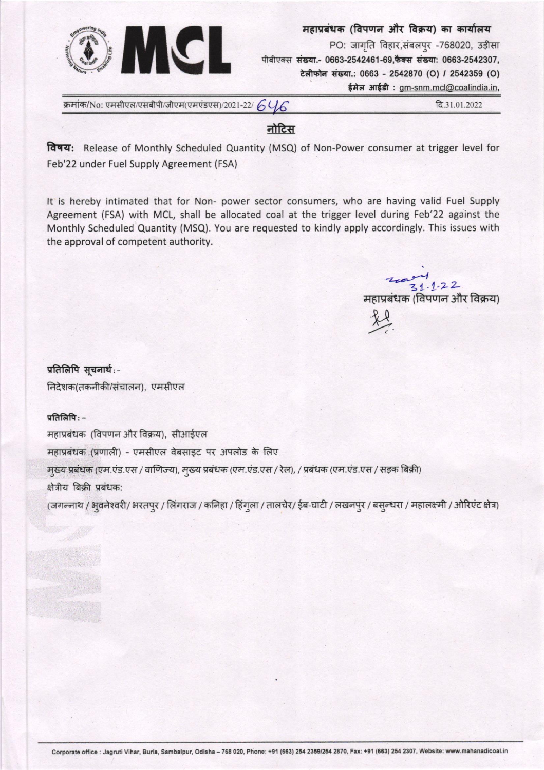

महाप्रबंधक (विपणन और विक्रय) का कार्यालय PO: जागृति विहार, संबलपुर -768020, उड़ीसा पीबीएक्स संख्या.- 0663-2542461-69,फैक्स संख्या: 0663-2542307,

टेलीफोन संख्या.: 0663 - 2542870 (O) / 2542359 (O)

ईमेल आईडी: gm-snm.mcl@coalindia.in,

क्रमांक/No: एमसीएल/एसबीपी/जीएम(एमएंडएस)/2021-22/  $6\%$ 

दि.31.01.2022

## नोटिस

विषय: Release of Monthly Scheduled Quantity (MSQ) of Non-Power consumer at trigger level for Feb'22 under Fuel Supply Agreement (FSA)

It is hereby intimated that for Non- power sector consumers, who are having valid Fuel Supply Agreement (FSA) with MCL, shall be allocated coal at the trigger level during Feb'22 against the Monthly Scheduled Quantity (MSQ). You are requested to kindly apply accordingly. This issues with the approval of competent authority.

 $\frac{1}{3}$ द्र 1 . 1 . 2 2<br>महाप्रबंधक (विपणन और विक्रय)

प्रतिलिपि सूचनार्थ:-निदेशक(तकनीकी/संचालन), एमसीएल

प्रतिलिपि $:$  -

महाप्रबंधक (विपणन और विक्रय), सीआईएल

महाप्रबंधक (प्रणाली) - एमसीएल वेबसाइट पर अपलोड के लिए

मुख्य प्रबंधक (एम.एंड.एस / वाणिज्य), मुख्य प्रबंधक (एम.एंड.एस / रेल), / प्रबंधक (एम.एंड.एस / सड़क बिक्री) क्षेत्रीय बिक्री प्रबंधक:

(जगन्नाथ / भूवनेश्वरी/ भरतपुर / लिंगराज / कनिहा / हिंगुला / तालचेर/ ईब-घाटी / लखनपुर / बसुन्धरा / महालक्ष्मी / ओरिएंट क्षेत्र)